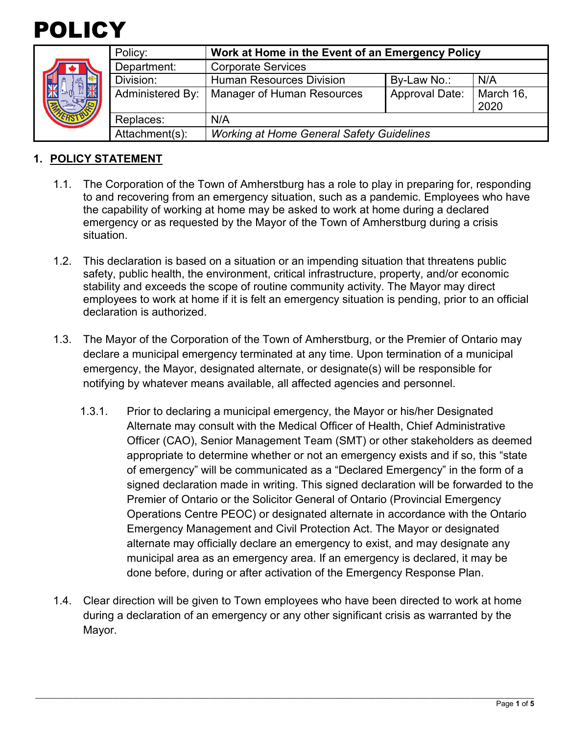



| Policy:          | Work at Home in the Event of an Emergency Policy |                       |                   |
|------------------|--------------------------------------------------|-----------------------|-------------------|
| Department:      | <b>Corporate Services</b>                        |                       |                   |
| Division:        | <b>Human Resources Division</b>                  | By-Law No.:           | N/A               |
| Administered By: | Manager of Human Resources                       | <b>Approval Date:</b> | March 16,<br>2020 |
| Replaces:        | N/A                                              |                       |                   |
| Attachment(s):   | <b>Working at Home General Safety Guidelines</b> |                       |                   |

### **1. POLICY STATEMENT**

- 1.1. The Corporation of the Town of Amherstburg has a role to play in preparing for, responding to and recovering from an emergency situation, such as a pandemic. Employees who have the capability of working at home may be asked to work at home during a declared emergency or as requested by the Mayor of the Town of Amherstburg during a crisis situation.
- 1.2. This declaration is based on a situation or an impending situation that threatens public safety, public health, the environment, critical infrastructure, property, and/or economic stability and exceeds the scope of routine community activity. The Mayor may direct employees to work at home if it is felt an emergency situation is pending, prior to an official declaration is authorized.
- 1.3. The Mayor of the Corporation of the Town of Amherstburg, or the Premier of Ontario may declare a municipal emergency terminated at any time. Upon termination of a municipal emergency, the Mayor, designated alternate, or designate(s) will be responsible for notifying by whatever means available, all affected agencies and personnel.
	- 1.3.1. Prior to declaring a municipal emergency, the Mayor or his/her Designated Alternate may consult with the Medical Officer of Health, Chief Administrative Officer (CAO), Senior Management Team (SMT) or other stakeholders as deemed appropriate to determine whether or not an emergency exists and if so, this "state of emergency" will be communicated as a "Declared Emergency" in the form of a signed declaration made in writing. This signed declaration will be forwarded to the Premier of Ontario or the Solicitor General of Ontario (Provincial Emergency Operations Centre PEOC) or designated alternate in accordance with the Ontario Emergency Management and Civil Protection Act. The Mayor or designated alternate may officially declare an emergency to exist, and may designate any municipal area as an emergency area. If an emergency is declared, it may be done before, during or after activation of the Emergency Response Plan.
- 1.4. Clear direction will be given to Town employees who have been directed to work at home during a declaration of an emergency or any other significant crisis as warranted by the Mayor.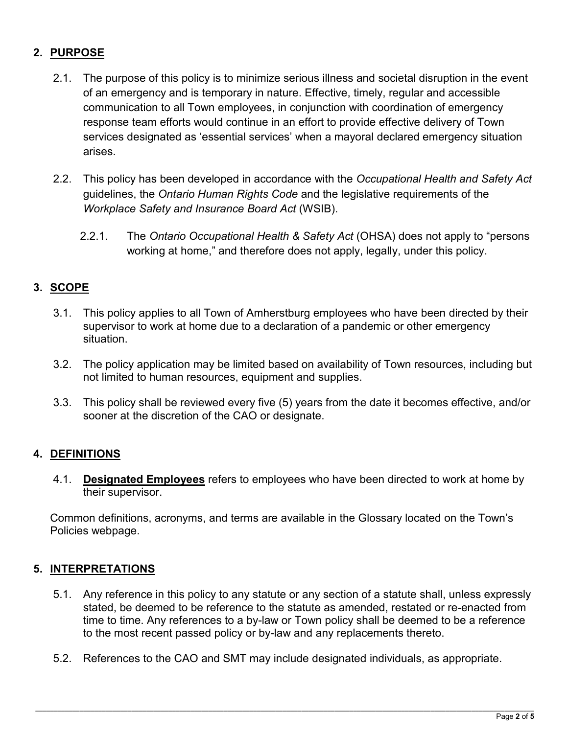# **2. PURPOSE**

- 2.1. The purpose of this policy is to minimize serious illness and societal disruption in the event of an emergency and is temporary in nature. Effective, timely, regular and accessible communication to all Town employees, in conjunction with coordination of emergency response team efforts would continue in an effort to provide effective delivery of Town services designated as 'essential services' when a mayoral declared emergency situation arises.
- 2.2. This policy has been developed in accordance with the *Occupational Health and Safety Act* guidelines, the *Ontario Human Rights Code* and the legislative requirements of the *Workplace Safety and Insurance Board Act* (WSIB).
	- 2.2.1. The *Ontario Occupational Health & Safety Act* (OHSA) does not apply to "persons working at home," and therefore does not apply, legally, under this policy.

## **3. SCOPE**

- 3.1. This policy applies to all Town of Amherstburg employees who have been directed by their supervisor to work at home due to a declaration of a pandemic or other emergency situation.
- 3.2. The policy application may be limited based on availability of Town resources, including but not limited to human resources, equipment and supplies.
- 3.3. This policy shall be reviewed every five (5) years from the date it becomes effective, and/or sooner at the discretion of the CAO or designate.

### **4. DEFINITIONS**

4.1. **Designated Employees** refers to employees who have been directed to work at home by their supervisor.

Common definitions, acronyms, and terms are available in the Glossary located on the Town's Policies webpage.

### **5. INTERPRETATIONS**

- 5.1. Any reference in this policy to any statute or any section of a statute shall, unless expressly stated, be deemed to be reference to the statute as amended, restated or re-enacted from time to time. Any references to a by-law or Town policy shall be deemed to be a reference to the most recent passed policy or by-law and any replacements thereto.
- 5.2. References to the CAO and SMT may include designated individuals, as appropriate.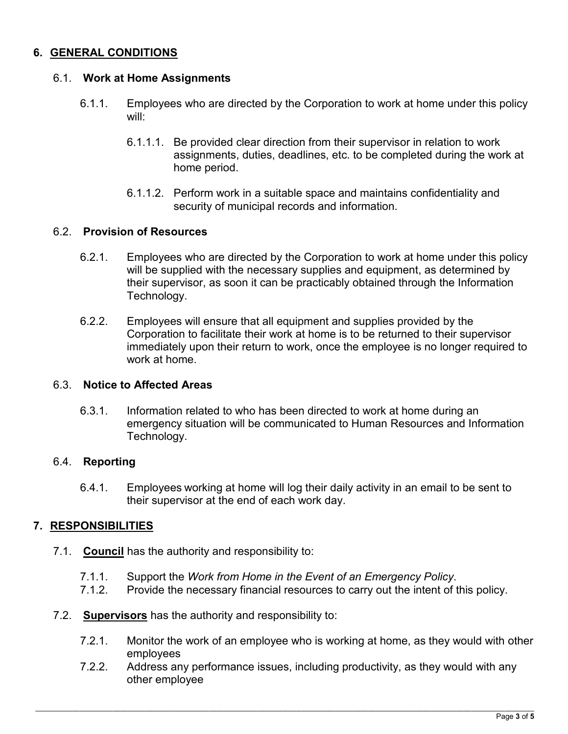### **6. GENERAL CONDITIONS**

### 6.1. **Work at Home Assignments**

- 6.1.1. Employees who are directed by the Corporation to work at home under this policy will:
	- 6.1.1.1. Be provided clear direction from their supervisor in relation to work assignments, duties, deadlines, etc. to be completed during the work at home period.
	- 6.1.1.2. Perform work in a suitable space and maintains confidentiality and security of municipal records and information.

#### 6.2. **Provision of Resources**

- 6.2.1. Employees who are directed by the Corporation to work at home under this policy will be supplied with the necessary supplies and equipment, as determined by their supervisor, as soon it can be practicably obtained through the Information Technology.
- 6.2.2. Employees will ensure that all equipment and supplies provided by the Corporation to facilitate their work at home is to be returned to their supervisor immediately upon their return to work, once the employee is no longer required to work at home.

#### 6.3. **Notice to Affected Areas**

6.3.1. Information related to who has been directed to work at home during an emergency situation will be communicated to Human Resources and Information Technology.

### 6.4. **Reporting**

6.4.1. Employees working at home will log their daily activity in an email to be sent to their supervisor at the end of each work day.

### **7. RESPONSIBILITIES**

- 7.1. **Council** has the authority and responsibility to:
	- 7.1.1. Support the *Work from Home in the Event of an Emergency Policy*.
	- 7.1.2. Provide the necessary financial resources to carry out the intent of this policy.
- 7.2. **Supervisors** has the authority and responsibility to:
	- 7.2.1. Monitor the work of an employee who is working at home, as they would with other employees
	- 7.2.2. Address any performance issues, including productivity, as they would with any other employee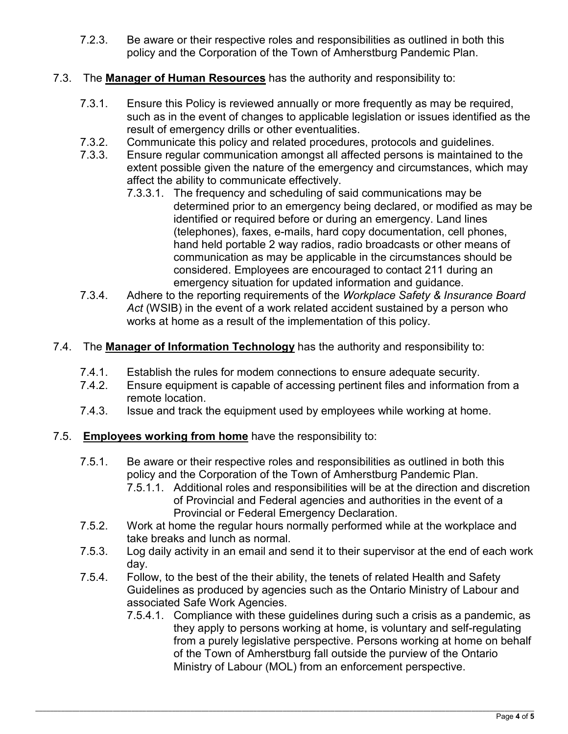- 7.2.3. Be aware or their respective roles and responsibilities as outlined in both this policy and the Corporation of the Town of Amherstburg Pandemic Plan.
- 7.3. The **Manager of Human Resources** has the authority and responsibility to:
	- 7.3.1. Ensure this Policy is reviewed annually or more frequently as may be required, such as in the event of changes to applicable legislation or issues identified as the result of emergency drills or other eventualities.
	- 7.3.2. Communicate this policy and related procedures, protocols and guidelines.
	- 7.3.3. Ensure regular communication amongst all affected persons is maintained to the extent possible given the nature of the emergency and circumstances, which may affect the ability to communicate effectively.
		- 7.3.3.1. The frequency and scheduling of said communications may be determined prior to an emergency being declared, or modified as may be identified or required before or during an emergency. Land lines (telephones), faxes, e-mails, hard copy documentation, cell phones, hand held portable 2 way radios, radio broadcasts or other means of communication as may be applicable in the circumstances should be considered. Employees are encouraged to contact 211 during an emergency situation for updated information and guidance.
	- 7.3.4. Adhere to the reporting requirements of the *Workplace Safety & Insurance Board Act* (WSIB) in the event of a work related accident sustained by a person who works at home as a result of the implementation of this policy.
- 7.4. The **Manager of Information Technology** has the authority and responsibility to:
	- 7.4.1. Establish the rules for modem connections to ensure adequate security.
	- 7.4.2. Ensure equipment is capable of accessing pertinent files and information from a remote location.
	- 7.4.3. Issue and track the equipment used by employees while working at home.
- 7.5. **Employees working from home** have the responsibility to:
	- 7.5.1. Be aware or their respective roles and responsibilities as outlined in both this policy and the Corporation of the Town of Amherstburg Pandemic Plan.
		- 7.5.1.1. Additional roles and responsibilities will be at the direction and discretion of Provincial and Federal agencies and authorities in the event of a Provincial or Federal Emergency Declaration.
	- 7.5.2. Work at home the regular hours normally performed while at the workplace and take breaks and lunch as normal.
	- 7.5.3. Log daily activity in an email and send it to their supervisor at the end of each work day.
	- 7.5.4. Follow, to the best of the their ability, the tenets of related Health and Safety Guidelines as produced by agencies such as the Ontario Ministry of Labour and associated Safe Work Agencies.
		- 7.5.4.1. Compliance with these guidelines during such a crisis as a pandemic, as they apply to persons working at home, is voluntary and self-regulating from a purely legislative perspective. Persons working at home on behalf of the Town of Amherstburg fall outside the purview of the Ontario Ministry of Labour (MOL) from an enforcement perspective.